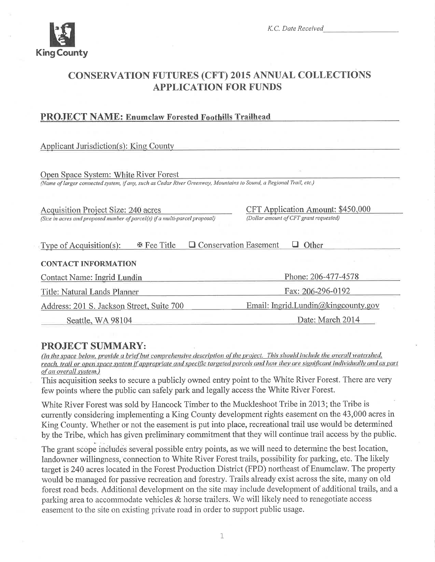

# **CONSERVATION FUTURES (CFT) 2015 ANNUAL COLLECTIONS APPLICATION FOR FUNDS**

# **PROJECT NAME: Enumclaw Forested Foothills Trailhead**

**Applicant Jurisdiction(s): King County** 

Open Space System: White River Forest (Name of larger connected system, if any, such as Cedar River Greenway, Mountains to Sound, a Regional Trail, etc.)

**Acquisition Project Size: 240 acres** (Size in acres and proposed number of parcel(s) if a multi-parcel proposal) **CFT** Application Amount: \$450,000 (Dollar amount of CFT grant requested)

| Type of Acquisition $(s)$ : | $\mathbb F$ Fee Title | □ Conservation Easement | $\Box$ Other |
|-----------------------------|-----------------------|-------------------------|--------------|
|                             |                       |                         |              |

#### **CONTACT INFORMATION**

| <b>Contact Name: Ingrid Lundin</b>        | Phone: 206-477-4578<br>Fax: 206-296-0192<br>Email: Ingrid.Lundin@kingcounty.gov |  |  |
|-------------------------------------------|---------------------------------------------------------------------------------|--|--|
| Title: Natural Lands Planner              |                                                                                 |  |  |
| Address: 201 S. Jackson Street, Suite 700 |                                                                                 |  |  |
| Seattle, WA 98104                         | Date: March 2014                                                                |  |  |

# **PROJECT SUMMARY:**

(In the space below, provide a brief but comprehensive description of the project. This should include the overall watershed. reach, trail or open space system if appropriate and specific targeted parcels and how they are significant individually and as part of an overall system.)

This acquisition seeks to secure a publicly owned entry point to the White River Forest. There are very few points where the public can safely park and legally access the White River Forest.

White River Forest was sold by Hancock Timber to the Muckleshoot Tribe in 2013; the Tribe is currently considering implementing a King County development rights easement on the 43,000 acres in King County. Whether or not the easement is put into place, recreational trail use would be determined by the Tribe, which has given preliminary commitment that they will continue trail access by the public.

The grant scope includes several possible entry points, as we will need to determine the best location, landowner willingness, connection to White River Forest trails, possibility for parking, etc. The likely target is 240 acres located in the Forest Production District (FPD) northeast of Enumclaw. The property would be managed for passive recreation and forestry. Trails already exist across the site, many on old forest road beds. Additional development on the site may include development of additional trails, and a parking area to accommodate vehicles  $\&$  horse trailers. We will likely need to renegotiate access easement to the site on existing private road in order to support public usage.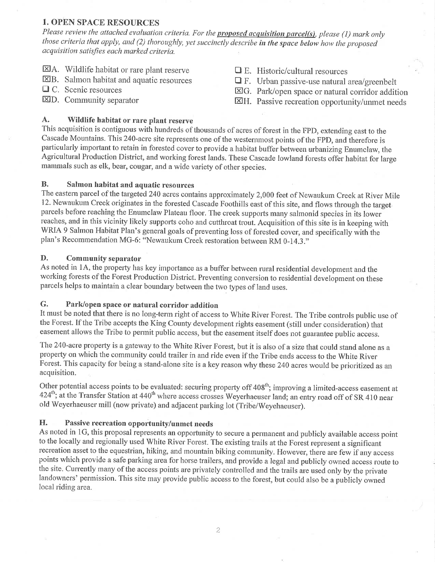# **1. OPEN SPACE RESOURCES**

Please review the attached evaluation criteria. For the **proposed acquisition parcel(s)**, please (1) mark only those criteria that apply, and (2) thoroughly, yet succinctly describe in the space below how the proposed acquisition satisfies each marked criteria.

- $\boxtimes$  A. Wildlife habitat or rare plant reserve
- $\boxtimes$ B. Salmon habitat and aquatic resources
- $\Box$  C. Scenic resources
- **XD.** Community separator
- $\Box$  E. Historic/cultural resources
- $\Box$  F. Urban passive-use natural area/greenbelt
- $\boxtimes$ G. Park/open space or natural corridor addition
- XH. Passive recreation opportunity/unmet needs

#### $\mathbf{A}$ . Wildlife habitat or rare plant reserve

This acquisition is contiguous with hundreds of thousands of acres of forest in the FPD, extending east to the Cascade Mountains. This 240-acre site represents one of the westernmost points of the FPD, and therefore is particularly important to retain in forested cover to provide a habitat buffer between urbanizing Enumclaw, the Agricultural Production District, and working forest lands. These Cascade lowland forests offer habitat for large mammals such as elk, bear, cougar, and a wide variety of other species.

#### **B.** Salmon habitat and aquatic resources

The eastern parcel of the targeted 240 acres contains approximately 2,000 feet of Newaukum Creek at River Mile 12. Newaukum Creek originates in the forested Cascade Foothills east of this site, and flows through the target parcels before reaching the Enumclaw Plateau floor. The creek supports many salmonid species in its lower reaches, and in this vicinity likely supports coho and cutthroat trout. Acquisition of this site is in keeping with WRIA 9 Salmon Habitat Plan's general goals of preventing loss of forested cover, and specifically with the plan's Recommendation MG-6: "Newaukum Creek restoration between RM 0-14.3."

#### D. **Community separator**

As noted in 1A, the property has key importance as a buffer between rural residential development and the working forests of the Forest Production District. Preventing conversion to residential development on these parcels helps to maintain a clear boundary between the two types of land uses.

#### G. Park/open space or natural corridor addition

It must be noted that there is no long-term right of access to White River Forest. The Tribe controls public use of the Forest. If the Tribe accepts the King County development rights easement (still under consideration) that easement allows the Tribe to permit public access, but the easement itself does not guarantee public access.

The 240-acre property is a gateway to the White River Forest, but it is also of a size that could stand alone as a property on which the community could trailer in and ride even if the Tribe ends access to the White River Forest. This capacity for being a stand-alone site is a key reason why these 240 acres would be prioritized as an acquisition.

Other potential access points to be evaluated: securing property off 408<sup>th</sup>; improving a limited-access easement at 424<sup>th</sup>; at the Transfer Station at 440<sup>th</sup> where access crosses Weyerhaeuser land; an entry road off of SR 410 near old Weyerhaeuser mill (now private) and adjacent parking lot (Tribe/Weyehaeuser).

#### H. Passive recreation opportunity/unmet needs

As noted in 1G, this proposal represents an opportunity to secure a permanent and publicly available access point to the locally and regionally used White River Forest. The existing trails at the Forest represent a significant recreation asset to the equestrian, hiking, and mountain biking community. However, there are few if any access points which provide a safe parking area for horse trailers, and provide a legal and publicly owned access route to the site. Currently many of the access points are privately controlled and the trails are used only by the private landowners' permission. This site may provide public access to the forest, but could also be a publicly owned local riding area.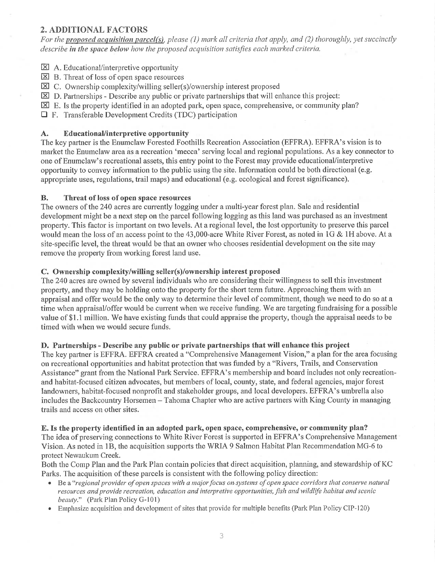# 2. ADDITIONAL FACTORS

For the proposed acquisition parcel(s), please (1) mark all criteria that apply, and (2) thoroughly, yet succinctly describe in the space below how the proposed acquisition satisfies each marked criteria.

- $\boxtimes$  A. Educational/interpretive opportunity
- $\boxtimes$  B. Threat of loss of open space resources
- $\boxtimes$  C. Ownership complexity/willing seller(s)/ownership interest proposed
- $\boxtimes$  D. Partnerships Describe any public or private partnerships that will enhance this project:
- E. Is the property identified in an adopted park, open space, comprehensive, or community plan?
- $\Box$  F. Transferable Development Credits (TDC) participation

### A. Educational/interpretive opportunity

The key paftner is the Enumclaw Forested Foothills Recreation Association (EFFRA). EFFRA's vision is to market the Enumclaw area as a recreation 'mecca' serving local and tegional populations. As a key connector to one of Enumclaw's recreational assets, this entry point to the Forest may provide educational/interpretive opportunity to convey information to the public using the site. Information could be both directional (e.g. appropriate uses, regulations, trail maps) and educational (e.g. ecological and forest significance).

### B. Threat of loss of open space resources

The owners of the 240 acres are currently logging under a multi-year forest plan. Sale and residential development might be a next step on the parcel following logging as this land was purchased as an investment property. This factor is irnportant on two levels. At a regional level, the lost opportunity to preserve this parcel would mean the loss of an access point to the 43,000-acre White River Forest, as noted in lG & lH above. At a site-specific level, the threat would be that an owner who chooses residential development on the site may remove the property from working forest land use.

### C. Ownership complexity/willing seller(s)/ownership interest proposed

The 240 acres are owned by several individuals who are considering their willingness to sell this investment property, and they may be holding onto the property for the short term future. Approaching them with an appraisal and offer would be the only way to detennine their level of commifinent, though we need to do so at a time when appraisal/offer would be current when we receive funding. We are targeting fundraising for a possible value of \$1.1 million. We have existing funds that could appraise the property, though the appraisal needs to be timed with when we would secure funds.

#### D. Partnerships - Describe any public or private partnerships that will enhance this project

The key paftner is EFFRA. EFFRA created a "Comprehensive Management Vision," a plan for the area focusing on recreational opportunities and habitat protection that was funded by a "Rivers, Trails, and Conservation Assistance" grant from the National Park Service. EFFRA's membership and board includes not only recreationand habitat-focused citizen advocates, but members of local, county, state, and federal agencies, major forest landowners, habitat-focused nonprofit and stakeholder groups, and local developers. EFFRA's umbrella also includes the Backcountry Horsemen - Tahoma Chapter who are active partners with King County in managing trails and access on other sites.

#### E. Is the property identified in an adopted park, open space, comprehensive, or community plan?

The idea of preserving connections to White River Forest is supported in EFFRA's Comprehensive Management Vision. As noted in 18, the acquisition supports the WRIA 9 Salmon Habitat Plan Recomrnendation MG-6 to protect Newaukum Creek.

Both the Comp Plan and the Park Plan contain policies that direct acquisition, planning, and stewardship of KC Parks. The acquisition of these parcels is consistent with the following policy direction:

- Be a "regional provider of open spaces with a major focus on systems of open space corridors that conserve natural resources and provide recreation, education and interpretive opportunities, fish and wildlife habitat and scenic beauty." (Park Plan Policy G-101)
- Emphasize acquisition and development of sites that provide for multiple benefits (Park Plan Policy CIP-120)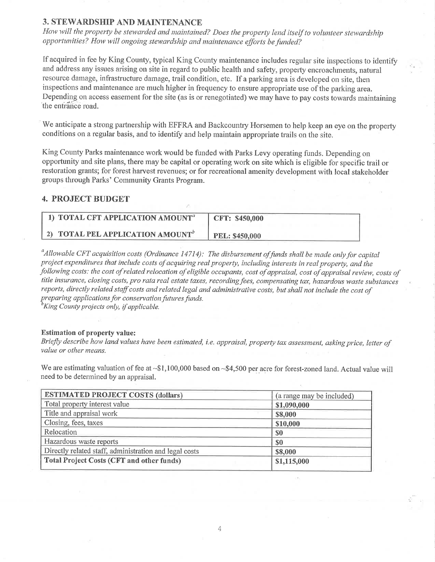# 3. STEWARDSHIP AND MAINTENANCE

How will the property be stewarded and maintained? Does the property lend itself to volunteer stewardship opportunities? How will ongoing stewardship and maintenance efforts be funded?

If acquired in fee by King County, typical King County maintenance includes regular site inspections to identify and address any issues arising on site in regard to public health and safety, property encroachments, natural resource damage, infrastructure damage, trail condition, etc. If a parking area is developed on site, then inspections and maintenance are much higher in frequency to ensure appropriate use of the parking area. Depending on access easement for the site (as is or renegotiated) we may have to pay costs towards maintaining the entrance road.

We anticipate a strong partnership with EFFRA and Backcountry Horsemen to help keep an eye on the property conditions on a regular basis, and to identify and help maintain appropriate trails on the site.

King County Parks maintenance work would be funded with Parks Levy operating funds. Depending on opportunity and site plans, there may be capital or operating work on site which is eligible for specific trail or restoration grants; for forest harvest revenues; or for recreational amenity development with local stakeholder groups through Parks' Community Grants Program.

### **4. PROJECT BUDGET**

| 1) TOTAL CFT APPLICATION AMOUNT <sup>a</sup> | CFT: \$450,000        |
|----------------------------------------------|-----------------------|
| 2) TOTAL PEL APPLICATION AMOUNT <sup>b</sup> | <b>PEL: \$450,000</b> |

 $^a$ Allowable CFT acquisition costs (Ordinance 14714): The disbursement of funds shall be made only for capital project expenditures that include costs of acquiring real property, including interests in real property, and the following costs: the cost of related relocation of eligible occupants, cost of appraisal, cost of appraisal review, costs of title insurance, closing costs, pro rata real estate taxes, recording fees, compensating tax, hazardous waste substances reports, directly related staff costs and related legal and administrative costs, but shall not include the cost of preparing applications for conservation futures funds.

<sup>b</sup>King County projects only, if applicable.

#### **Estimation of property value:**

Briefly describe how land values have been estimated, i.e. appraisal, property tax assessment, asking price, letter of value or other means.

We are estimating valuation of fee at  $\sim 1,100,000$  based on  $\sim 1,500$  per acre for forest-zoned land. Actual value will need to be determined by an appraisal.

| <b>ESTIMATED PROJECT COSTS (dollars)</b>               | (a range may be included) |  |
|--------------------------------------------------------|---------------------------|--|
| Total property interest value                          | \$1,090,000               |  |
| Title and appraisal work                               | \$8,000                   |  |
| Closing, fees, taxes                                   | \$10,000                  |  |
| Relocation                                             | \$0                       |  |
| Hazardous waste reports                                | \$0                       |  |
| Directly related staff, administration and legal costs | \$8,000                   |  |
| <b>Total Project Costs (CFT and other funds)</b>       | \$1,115,000               |  |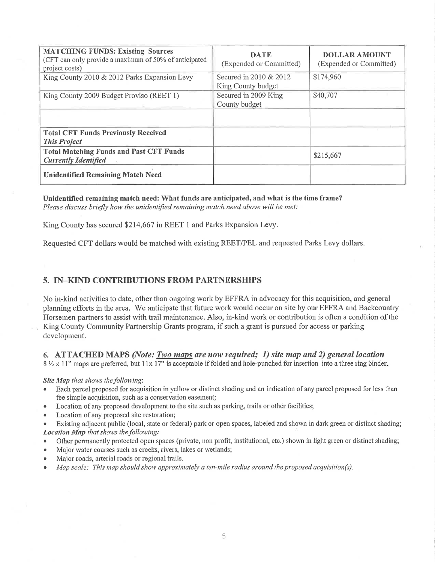| <b>MATCHING FUNDS: Existing Sources</b><br>(CFT can only provide a maximum of 50% of anticipated<br>project costs) | <b>DATE</b><br>(Expended or Committed)       | <b>DOLLAR AMOUNT</b><br>(Expended or Committed) |
|--------------------------------------------------------------------------------------------------------------------|----------------------------------------------|-------------------------------------------------|
| King County 2010 & 2012 Parks Expansion Levy                                                                       | Secured in 2010 & 2012<br>King County budget | \$174,960                                       |
| King County 2009 Budget Proviso (REET 1)                                                                           | Secured in 2009 King<br>County budget        | \$40,707                                        |
| <b>Total CFT Funds Previously Received</b><br><b>This Project</b>                                                  |                                              |                                                 |
| <b>Total Matching Funds and Past CFT Funds</b><br><b>Currently Identified</b>                                      |                                              | \$215,667                                       |
| <b>Unidentified Remaining Match Need</b>                                                                           |                                              |                                                 |

Unidentified remaining match need: What funds are anticipated, and what is the time frame? Please discuss briefly how the unidentified remaining match need above will be met:

King County has secured \$214,667 in REET 1 and Parks Expansion Levy.

Requested CFT dollars would be matched with existing REET/PEL and requested Parks Levy dollars.

### 5. IN-KIND CONTRIBUTIONS FROM PARTNERSHIPS

No in-kind activities to date, other than ongoing work by EFFRA in advocacy for this acquisition, and general planning efforts in the area. We anticipate that future work would occur on site by our EFFRA and Backcountry Horsemen partners to assist with trail maintenance. Also, in-kind work or contribution is often a condition of the

King County Community Partnership Grants program, if such a grant is pursued for access or parking development.

#### 6. ATTACHED MAPS (Note: Two maps are now required; 1) site map and 2) general location

8 1/2 x 11" maps are preferred, but 11x 17" is acceptable if folded and hole-punched for insertion into a three ring binder.

#### Site Map that shows the following:

- Each parcel proposed for acquisition in yellow or distinct shading and an indication of any parcel proposed for less than fee simple acquisition, such as a conservation easement;
- Location of any proposed development to the site such as parking, trails or other facilities;  $\bullet$
- Location of any proposed site restoration;  $\bullet$

Existing adjacent public (local, state or federal) park or open spaces, labeled and shown in dark green or distinct shading; Location Map that shows the following:

- Other permanently protected open spaces (private, non profit, institutional, etc.) shown in light green or distinct shading;  $\bullet$
- Major water courses such as creeks, rivers, lakes or wetlands;
- Major roads, arterial roads or regional trails.  $\bullet$
- Map scale: This map should show approximately a ten-mile radius around the proposed acquisition(s).  $\bullet$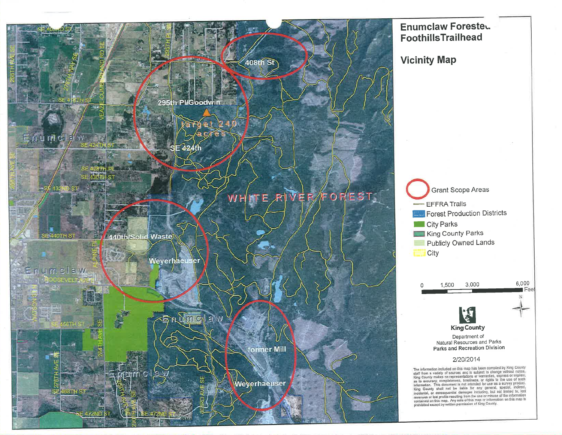